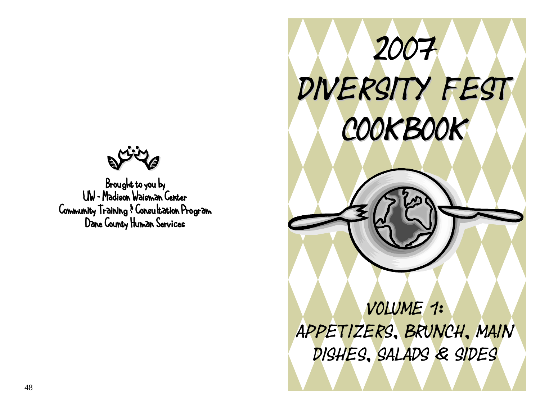Brought to you by UW – Madison Waisman Center Community Training & Consultation Program Dane County Human Services

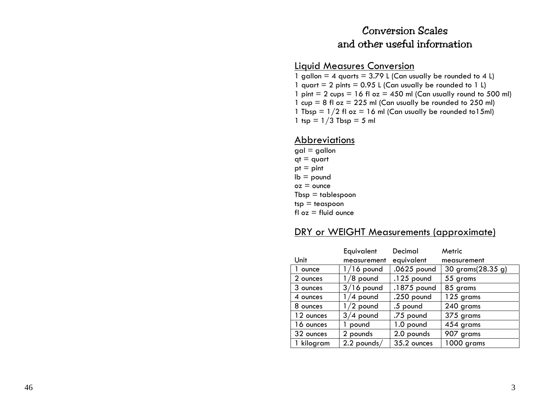#### Conversion Scales and other useful information

#### Liquid M easures Conversion

1 gallon = 4 quarts =  $3.79$  L (Can usually be rounded to 4 L) 1 quart  $= 2$  pints  $= 0.95$  L (Can usually be rounded to 1 L) 1 pint  $= 2$  cups  $= 16$  fl oz  $= 450$  ml (Can usually round to 500 ml) 1  $cup = 8$  fl  $oz = 225$  ml (Can usually be rounded to 250 ml) 1 Tbsp =  $1/2$  fl oz = 16 ml (Can usually be rounded to 15ml) 1 tsp =  $1/3$  Tbsp = 5 ml

#### Abbreviations

 $gal = gallon$  $qt = quart$  $pt = pint$  $\mathsf{lb} = \mathsf{pound}$  $oz =$  $Tbsp =$  tablespoon  $tsp = t$ easpoon  $f \circ z = f \circ f$  ounce

#### DRY or WEIGHT Measurements (approximate)

|            | Equivalent    | Decimal      | Metric            |
|------------|---------------|--------------|-------------------|
| Unit       | measurement   | equivalent   | measurement       |
| ounce      | $1/16$ pound  | .0625 pound  | 30 grams(28.35 g) |
| 2 ounces   | /8 pound      | $.125$ pound | 55 grams          |
| 3 ounces   | $3/16$ pound  | .1875 pound  | 85 grams          |
| 4 ounces   | 4 pound       | $.250$ pound | 125 grams         |
| 8 ounces   | /2 pound      | .5 pound     | 240 grams         |
| 12 ounces  | $3/4$ pound   | .75 pound    | 375 grams         |
| 16 ounces  | pound         | 1.0 pound    | 454 grams         |
| 32 ounces  | 2 pounds      | 2.0 pounds   | 907 grams         |
| 1 kilogram | $2.2$ pounds/ | 35.2 ounces  | 1000 grams        |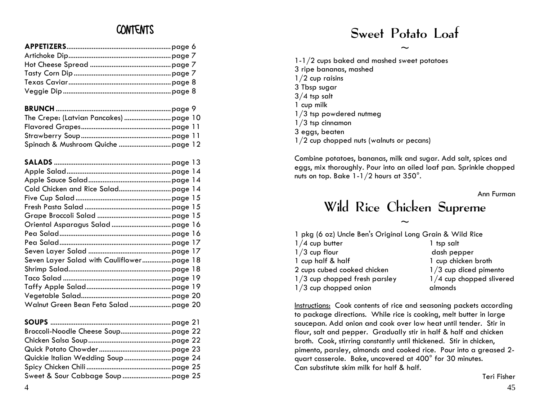| $\tilde{\phantom{a}}$                                                  |
|------------------------------------------------------------------------|
|                                                                        |
| $1-1/2$ cups baked and mashed sweet potatoes<br>3 ripe bananas, mashed |
| $1/2$ cup raisins                                                      |
|                                                                        |
| 3 Tbsp sugar                                                           |
| $3/4$ tsp salt                                                         |

| cup milk                                   |
|--------------------------------------------|
| $1/3$ tsp powdered nutmeg                  |
| $1/3$ tsp cinnamon                         |
| 3 eggs, beaten                             |
| $1/2$ cup chopped nuts (walnuts or pecans) |

| Combine potatoes, bananas, milk and sugar. Add salt, spices and<br>eggs, mix thoroughly. Pour into an oiled loaf pan. Sprinkle chopped<br>nuts on top. Bake $1-1/2$ hours at $350^\circ$ . |                          |
|--------------------------------------------------------------------------------------------------------------------------------------------------------------------------------------------|--------------------------|
| Wild Rice Chicken Supreme                                                                                                                                                                  | Ann Furman               |
|                                                                                                                                                                                            |                          |
| pkg (6 oz) Uncle Ben's Original Long Grain & Wild Rice                                                                                                                                     |                          |
| $1/4$ cup butter                                                                                                                                                                           | 1 tsp salt               |
| $1/3$ cup flour                                                                                                                                                                            | dash pepper              |
| cup half & half                                                                                                                                                                            | 1 cup chicken broth      |
| 2 cups cubed cooked chicken                                                                                                                                                                | $1/3$ cup diced pimento  |
| $1/3$ cup chopped fresh parsley                                                                                                                                                            | 1/4 cup chopped slivered |
| $1/3$ cup chopped onion                                                                                                                                                                    | almonds                  |
|                                                                                                                                                                                            |                          |
| Instructions: Cook contents of rice and seasoning packets according                                                                                                                        |                          |

| <b>10 package ancenons.</b> Thing nee is cooking, mon-bonor in large<br>saucepan. Add onion and cook over low heat until tender. Stir in |
|------------------------------------------------------------------------------------------------------------------------------------------|
| flour, salt and pepper. Gradually stir in half & half and chicken                                                                        |
| broth. Cook, stirring constantly until thickened. Stir in chicken,                                                                       |
| pimento, parsley, almonds and cooked rice. Pour into a greased 2-                                                                        |
| quart casserole. Bake, uncovered at 400° for 30 minutes.                                                                                 |
| Can substitute skim milk for half & half.                                                                                                |
| Teri Fisher                                                                                                                              |

#### CONTENTS Sweet Potato Loaf

Combine potatoes, bananas, milk and sugar. Add salt, spices and eggs, mix thoroughly. Pour into an oiled loaf pan. Sprinkle chopped nuts on top. Bake 1-1/2 hours at 350°.

## ................................................page <sup>15</sup>Wild Rice Chicken Supreme Grape Broccoli Salad .........................................page <sup>15</sup>

|                                 | pkg (6 oz) Uncle Ben's Original Long Grain & Wild Rice |  |
|---------------------------------|--------------------------------------------------------|--|
| $1/4$ cup butter                | l tsp salt l                                           |  |
| $1/3$ cup flour                 | dash pepper                                            |  |
| cup half & half                 | 1 cup chicken broth                                    |  |
| 2 cups cubed cooked chicken     | $1/3$ cup diced pimento                                |  |
| $1/3$ cup chopped fresh parsley | $1/4$ cup chopped slivered                             |  |
| $1/3$ cup chopped onion         | almonds                                                |  |
|                                 |                                                        |  |

 .......................page 20 Instructions: Cook contents of rice and seasoning packets according to package directions. While rice is cooking, melt butter in large saucepan. Add onion and cook over low heat until tender. Stir in flour, salt and pepper. Gradually stir in half & half and chicken broth. Cook, stirring constantly until thickened. Stir in chicken, pimento, parsley, almonds and cooked rice. Pour into a greased 2 quart casserole. Bake, uncovered at 400° for 30 minutes. Can substitute skim milk for half & half.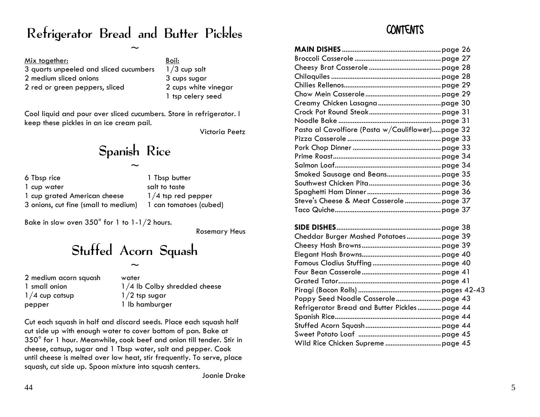#### Refrigerator Bread and Butter Pickles **CONTENTS**

| Mix together:                          | Boil:        |
|----------------------------------------|--------------|
| 3 quarts unpeeled and sliced cucumbers | $1/3$ cup so |
| 2 medium sliced onions                 | 3 cups sug   |
| 2 red or green peppers, sliced         | 2 cups wh    |
|                                        | 1 tsp celer  |

#### Spanish Rice

| 6 Tbsp rice                          | 1 Tbsp butter          | Smoked Sausage and Be   |
|--------------------------------------|------------------------|-------------------------|
| 1 cup water                          | salt to taste          | Southwest Chicken Pita  |
| 1 cup grated American cheese         | $1/4$ tsp red pepper   | Spaghetti Ham Dinner    |
| 3 onions, cut fine (small to medium) | 1 can tomatoes (cubed) | Steve's Cheese & Meat C |

# Stuffed Acorn Squash

Cut each squash in half and discard seeds. Place each squash half cut side up with enough water to cov er bottom of pan. Bake at 350° for 1 h our. Meanwhile, cook beef and onion till tender. Stir in cheese, catsup, sugar and 1 Tbsp water, salt and pepper. Cook until cheese is melted over low heat, stir frequently. To serve, place squash, cut side up. Spoon mixture int o squash centers.

| <u>Mix together:</u>                                                                                                                                                                                              |       | Boil:                        |                                                  |  |
|-------------------------------------------------------------------------------------------------------------------------------------------------------------------------------------------------------------------|-------|------------------------------|--------------------------------------------------|--|
| 3 quarts unpeeled and sliced cucumbers                                                                                                                                                                            |       | $1/3$ cup salt               |                                                  |  |
| 2 medium sliced onions                                                                                                                                                                                            |       | 3 cups sugar                 |                                                  |  |
| 2 red or green peppers, sliced                                                                                                                                                                                    |       | 2 cups white vinegar         |                                                  |  |
| 1 tsp celery seed                                                                                                                                                                                                 |       |                              |                                                  |  |
|                                                                                                                                                                                                                   |       |                              |                                                  |  |
| Cool liquid and pour over sliced cucumbers. Store in refrigerator. I                                                                                                                                              |       |                              |                                                  |  |
| keep these pickles in an ice cream pail.                                                                                                                                                                          |       |                              |                                                  |  |
| Victoria Peetz                                                                                                                                                                                                    |       |                              | Pasta al Cavolfiore (Pasta w/Cauliflower)page 32 |  |
|                                                                                                                                                                                                                   |       |                              |                                                  |  |
| Spanish Rice                                                                                                                                                                                                      |       |                              |                                                  |  |
|                                                                                                                                                                                                                   |       |                              |                                                  |  |
|                                                                                                                                                                                                                   |       |                              |                                                  |  |
| 6 Tbsp rice                                                                                                                                                                                                       |       | 1 Tbsp butter                |                                                  |  |
|                                                                                                                                                                                                                   |       |                              |                                                  |  |
| 1 cup water<br>salt to taste<br>1 cup grated American cheese<br>$1/4$ tsp red pepper<br>3 onions, cut fine (small to medium)<br>1 can tomatoes (cubed)                                                            |       |                              |                                                  |  |
|                                                                                                                                                                                                                   |       |                              |                                                  |  |
|                                                                                                                                                                                                                   |       |                              |                                                  |  |
| Bake in slow oven $350^{\circ}$ for 1 to 1-1/2 hours.                                                                                                                                                             |       |                              |                                                  |  |
| <b>Rosemary Heus</b>                                                                                                                                                                                              |       |                              |                                                  |  |
|                                                                                                                                                                                                                   |       |                              | Cheddar Burger Mashed Potatoes  page 39          |  |
| Stuffed Acorn Squash                                                                                                                                                                                              |       |                              |                                                  |  |
|                                                                                                                                                                                                                   |       |                              |                                                  |  |
|                                                                                                                                                                                                                   |       |                              |                                                  |  |
| 2 medium acorn squash                                                                                                                                                                                             | water |                              |                                                  |  |
| 1 small onion                                                                                                                                                                                                     |       | 1/4 lb Colby shredded cheese |                                                  |  |
|                                                                                                                                                                                                                   |       |                              |                                                  |  |
| $1/4$ cup catsup<br>$1/2$ tsp sugar<br>1 lb hamburger<br>pepper                                                                                                                                                   |       |                              |                                                  |  |
|                                                                                                                                                                                                                   |       |                              | Refrigerator Bread and Butter Pickles page 44    |  |
| Cut each squash in half and discard seeds. Place each squash half<br>cut side up with enough water to cover bottom of pan. Bake at<br>$350^\circ$ for 1 hour. Meanwhile, cook beef and onion till tender. Stir in |       |                              |                                                  |  |
|                                                                                                                                                                                                                   |       |                              |                                                  |  |
|                                                                                                                                                                                                                   |       |                              |                                                  |  |
|                                                                                                                                                                                                                   |       |                              |                                                  |  |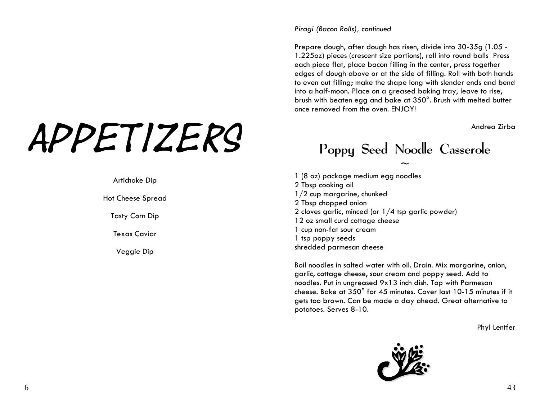# APPETIZERS<br>Poppy Seed Noodle Casserole

*Piragi (Bacon Rolls), continued* 

Prepare dough, after dough has risen, divide into 30-35g (1.05 - 1.225oz) pieces (crescent size portions), roll into round balls Press each piece flat, place bacon filling in the center, press together edges of dough above or at the side of filling. Roll with both hands to even out filling; make the shape long with slender ends and bend into a half-moon. Place on a greased baking tray, leave to rise, brush with beaten egg and bake at 350°. Brush with melted butter once removed from the oven. ENJOY!

 $\sim$ 

1 (8 oz) package medium egg noodles Artichoke Dip 2 Tbsp cooking oil 1/2 cup margarine, chunked Hot Cheese Spread 2 Tbsp chopped onion 2 cloves garlic, minced (or 1/4 tsp garlic powder) Tasty Corn Dip 12 oz small curd cottage cheese 1 cup non-fat sour cream Texas Caviar 1 to the control of the cream 1 to the cream 1 tsp poppy seeds shredded parmesan cheese Veggie Dip

> Boil noodles in salted water with oil. Drain. Mix margarine, onion, garlic, cottage cheese, sour cream and poppy seed. Add to noodles. Put in ungreased 9x13 inch dish. Top with Parmesan cheese. Bake at 350° for 45 minutes. Cover last 10-15 minutes if it gets too brown. Can be made a day ahead. Great alternative to potatoes. Serves 8-10.

> > Phyl Lentfer

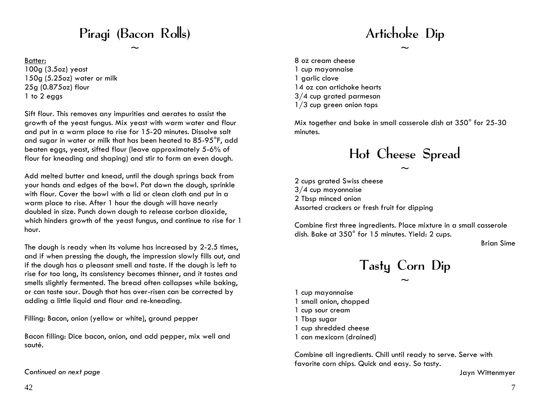#### Piragi (Bacon Rolls) and the contract of the Artichoke Dip

 $\sim$   $\sim$ 

Batter:100g (3.5oz) yeast 1 cup mayonnaise 150g (5.25oz) water or milk 150g (5.25oz) water or milk 25g (0.875oz) flour 14 oz can artichoke hearts 1 to 2 eggs  $3/4$  cup grated parmesan

Sift flour. This removes any impurities and aerates to assist the growth of the yeast fungus. Mix yeast with warm water and flour and put in a warm place to rise for 15-20 minutes. Dissolve salt and sugar in water or milk that has been heated to 85-95°F, add beaten eggs, yeast, sifted flour (leave approximately 5-6% of flour for kneading and shaping) and stir to form an even dough.

Add melted butter and knead, until the dough springs back from your hands and edges of the bowl. Pat down the dough, sprinkle with flour. Cover the bowl with a lid or clean cloth and put in a warm place to rise. After 1 hour the dough will have nearly doubled in size. Punch down dough to release carbon dioxide, which hinders growth of the yeast fungus, and continue to rise for 1 hour.

The dough is ready when its volume has increased by 2-2.5 times, and if when pressing the dough, the impression slowly fills out, and if the dough has a pleasant smell and taste. If the dough is left to rise for too long, its consistency becomes thinner, and it tastes and smells slightly fermented. The bread often collapses while baking, or can taste sour. Dough that has over-risen can be corrected by adding a little liquid and flour and re-kneading.

Filling: Bacon, onion (yellow or white), ground pepper 1 Tbsp sugar

Bacon filling: Dice bacon, onion, and add pepper, mix well and sauté.

*Continued on next page* Jayn Wittenmyer

 8 oz cream cheese 1/3 cup green onion tops

Mix together and bake in small casserole dish at 350° for 25-30 minutes.

## Hot Cheese Spread

 $\sim$ 

2 cups grated Swiss cheese 3/4 cup mayonnaise 2 Tbsp minced onion Assorted crackers or fresh fruit for dipping

Combine first three ingredients. Place mixture in a small casserole dish. Bake at 350° for 15 minutes. Yield: 2 cups.

Tasty Corn Dip

 $\sim$ 

- 1 cup mayonnaise 1 small onion, chopped 1 cup sour cream
- 1 cup shredded cheese
- 1 can mexicorn (drained)

Combine all ingredients. Chill until ready to serve. Serve with favorite corn chips. Quick and easy. So tasty.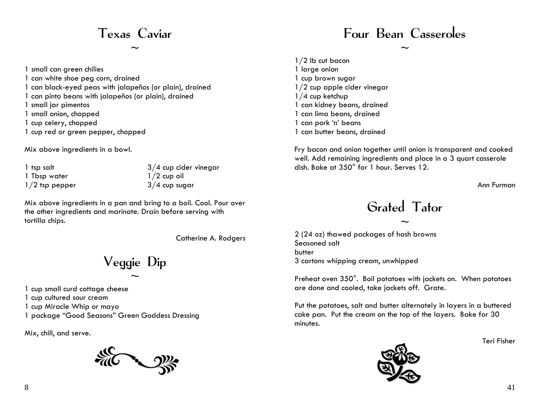### Texas Caviar

 $\sim$ 

1 small can green chilies 1 can white shoe peg corn, drained 1 can black-eyed peas with jalapeños (or plain), drained 1 can pinto beans with jalapeños (or plain), drained 1 small jar pimentos 1 small onion, chopped 1 cup celery, chopped 1 cup red or green pepper, chopped

Mix above ingredients in a bowl.

1 tsp salt 1 Tbsp water 1/2 tsp pepper

3/4 cup cider vinegar  $1/2$  cup oil 3/4 cup sugar

Mix above ingredients in a pan and bring to a boil. Cool. Pour over the other ingredients and marinate. Drain before serving with tortilla chips.

Catherine A. Rodgers

Veggie Dip

 $\sim$ 

1 cup small curd cottage cheese

1 cup cultured sour cream

1 cup Miracle Whip or mayo

1 package "Good Seasons" Green Goddess Dressing

Mix, chill, and serve.



#### Four Bean Casseroles

 $\sim$ 

1/2 lb cut bacon 1 large onion 1 cup brown sugar 1/2 cup apple cider vinegar 1/4 cup ketchup 1 can kidney beans, drained 1 can lima beans, drained 1 can pork 'n' beans 1 can butter beans, drained

Fry bacon and onion together until onion is transparent and cooked well. Add remaining ingredients and place in a 3 quart casserole dish. Bake at 350° for 1 hour. Serves 12.

Ann Furman

#### Grated Tator

 $\sim$ 

2 (24 oz) thawed packages of hash browns Seasoned salt butter 3 cartons whipping cream, unwhipped

Preheat oven 350°. Boil potatoes with jackets on. When potatoes are done and cooled, take jackets off. Grate.

Put the potatoes, salt and butter alternately in layers in a buttered cake pan. Put the cream on the top of the layers. Bake for 30 minutes.

Teri Fisher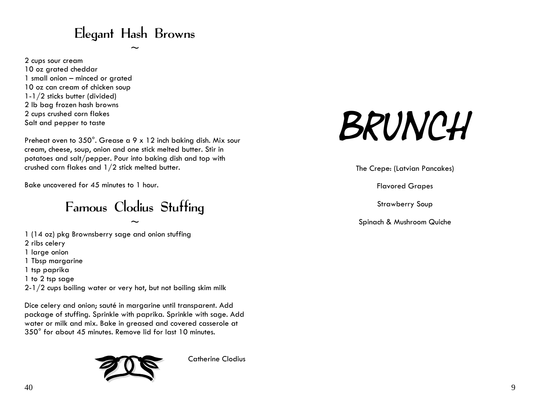#### Elegant Hash Browns

 $\sim$ 

2 cups sour cream 10 oz grated cheddar 1 small onion – minced or grated 10 oz can cream of chicken soup 1-1/2 sticks butter (divided) 2 lb bag frozen hash browns 2 cups crushed corn flakes Salt and pepper to taste

Preheat oven to 350°. Grease a 9 x 12 inch baking dish. Mix sour cream, cheese, soup, onion and one stick melted butter. Stir in potatoes and salt/pepper. Pour into baking dish and top with crushed corn flakes and  $1/2$  stick melted butter. The Crepe: (Latvian Pancakes)

Bake uncovered for 45 minutes to 1 hour. The set of the set of the set of the set of the Flavored Grapes of the S

# Famous Clodius Stuffing Strawberry Soup

1 (14 oz) pkg Brownsberry sage and onion stuffing 2 ribs celery 1 large onion 1 Tbsp margarine 1 tsp paprika 1 to 2 tsp sage 2-1/2 cups boiling water or very hot, but not boiling skim milk

Dice celery and onion; sauté in margarine until transparent. Add package of stuffing. Sprinkle with paprika. Sprinkle with sage. Add water or milk and mix. Bake in greased and covered casserole at 350° for about 45 minutes. Remove lid for last 10 minutes.



Catherine Clodius

# BRUNCH

Spinach & Mushroom Quiche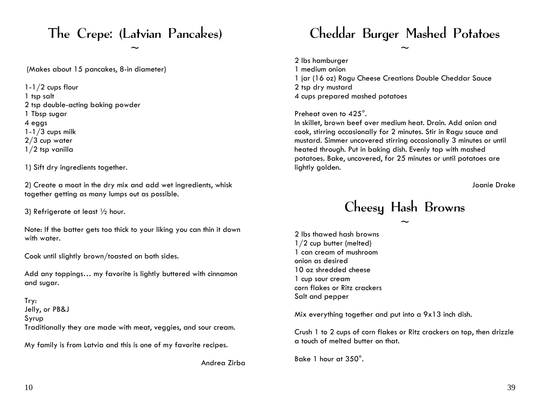(Makes about 15 pancakes, 8-in diameter) 1 medium onion

1-1/2 cups flour 2 tsp dry mustard 1 tsp salt 4 cups prepared mashed potatoes 2 tsp double-acting baking powder 1 Tbsp sugar Preheat oven to 425°.  $1-1/3$  cups milk 2/3 cup water 1/2 tsp vanilla

1) Sift dry ingredients together.

2) Create a moat in the dry mix and add wet ingredients, whisk together getting as many lumps out as possible.

Note: If the batter gets too thick to your liking you can thin it down with water.<br>
2 lbs thawed hash browns with water.<br>
2 lbs thawed hash browns 1/2 cup butter (melted)

Cook until slightly brown/toasted on both sides. onion as desired

10 oz shredded cheese Add any toppings… my favorite is lightly buttered with cinnamon and sugar.<br>1 cup sour cream corn flakes or Ritz crackers

Salt and pepper Try: Jelly, or PB&J<br>Syrup Traditionally they are made with meat, veggies, and sour cream. Crush 1 to 2 cups of corn flakes or Ritz crackers on top, then drizzle

a touch of melted butter on that. My family is from Latvia and this is one of my favorite recipes.

#### The Crepe: (Latvian Pancakes) Cheddar Burger Mashed Potatoes

2 lbs hamburger 1 jar (16 oz) Ragu Cheese Creations Double Cheddar Sauce

 $\sim$   $\sim$ 

4 eggs In skillet, brown beef over medium heat. Drain. Add onion and cook, stirring occasionally for 2 minutes. Stir in Ragu sauce and mustard. Simmer uncovered stirring occasionally 3 minutes or until heated through. Put in baking dish. Evenly top with mashed potatoes. Bake, uncovered, for 25 minutes or until potatoes are lightly golden.

Joanie Drake

#### 3) Refrigerate at least 1/2 hour.  $\blacksquare$  . Cheesy Hash Browns

 $\sim$ 

1 can cream of mushroom

Bake 1 hour at 350°. Andrea Zirba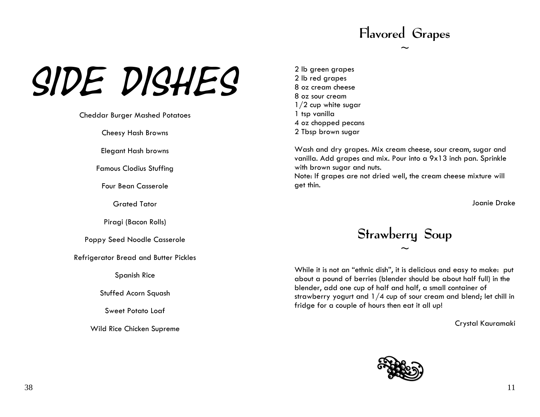## Flavored Grapes

 $\sim$ 

# $SIDE$   $DISHES$ <sup>2 lb green grapes</sup><br>8 oz cream cheese

Cheddar Burger Mashed Potatoes 1 tsp vanilla

Elegant Hash browns

Famous Clodius Stuffing

Four Bean Casserole **Gasserole** and the set of the set of thin.

Piragi (Bacon Rolls)

Refrigerator Bread and Butter Pickles

Spanish Rice

Stuffed Acorn Squash

Sweet Potato Loaf

Crystal Kauramaki Wild Rice Chicken Supreme

1/2 cup white sugar 4 oz chopped pecans Cheesy Hash Browns 2 Tbsp brown sugar

> Wash and dry grapes. Mix cream cheese, sour cream, sugar and vanilla. Add grapes and mix. Pour into a 9x13 inch pan. Sprinkle with brown sugar and nuts.

Note: If grapes are not dried well, the cream cheese mixture will

Grated Tator Joanie Drake

# Poppy Seed Noodle Casserole **Strawberry Soup**

 $\sim$ 

While it is not an "ethnic dish", it is delicious and easy to make: put about a pound of berries (blender should be about half full) in the blender, add one cup of half and half, a small container of strawberry yogurt and 1/4 cup of sour cream and blend; let chill in fridge for a couple of hours then eat it all up!

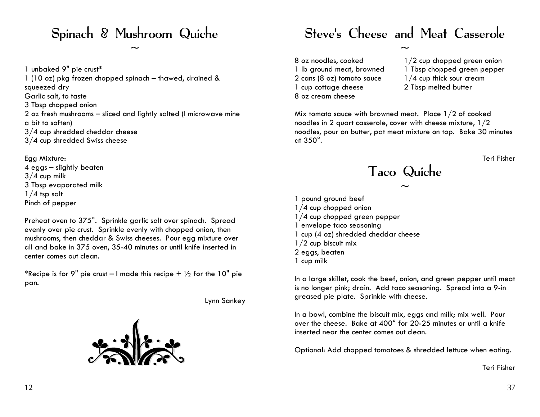1 unbaked 9" pie crust\* 1 lb ground meat, browned 1 Tbsp chopped green pepper 1 (10 oz) pkg frozen chopped spinach – thawed, drained & squeezed dry Garlic salt, to taste 8 oz cream cheese 3 Tbsp chopped onion 2 oz fresh mushrooms – sliced and lightly salted (I microwave mine a bit to soften) 3/4 cup shredded cheddar cheese 3/4 cup shredded Swiss cheese

Egg Mixture: Teri Fisher 4 eggs – slightly beaten 4 eggs – slightly beaten<br>3/4 cup milk Taco Quiche<br>3 Tbsp evaporated milk  $\sim$ 

Preheat oven to 375°. Sprinkle garlic salt over spinach. Spread and the state of 1/4 cup chopped green pepper evenly over pie crust. Sprinkle evenly with chopped onion, then mushrooms, then cheddar & Swiss cheeses. Pour egg mixture over all and bake in 375 oven, 35-40 minutes or until knife inserted in center comes out clean.

\*Recipe is for 9" pie crust – I made this recipe  $+ \frac{1}{2}$  for the 10" pie



#### Spinach & Mushroom Quiche Steve's Cheese and Meat Casserole

2 cans (8 oz) tomato sauce  $1/4$  cup thick sour cream 1 cup cottage cheese 2 Tbsp melted butter

 $\sim$   $\sim$ 

- $8$  oz noodles, cooked  $1/2$  cup chopped green onion
	-
	-
	-

Mix tomato sauce with browned meat. Place 1/2 of cooked noodles in 2 quart casserole, cover with cheese mixture, 1/2 noodles, pour on butter, pat meat mixture on top. Bake 30 minutes at 350°.

~ 3 Tbsp evaporated milk 1/4 tsp salt 1 pound ground beef Pinch of pepper 1/4 cup chopped onion 1 envelope taco seasoning 1 cup (4 oz) shredded cheddar cheese 1/2 cup biscuit mix 2 eggs, beaten 1 cup milk

pan. In a large skillet, cook the beef, onion, and green pepper until meat is no longer pink; drain. Add taco seasoning. Spread into a 9-in greased pie plate. Sprinkle with cheese. Lynn Sankey

> In a bowl, combine the biscuit mix, eggs and milk; mix well. Pour over the cheese. Bake at 400° for 20-25 minutes or until a knife inserted near the center comes out clean.

Optional: Add chopped tomatoes & shredded lettuce when eating.

Teri Fisher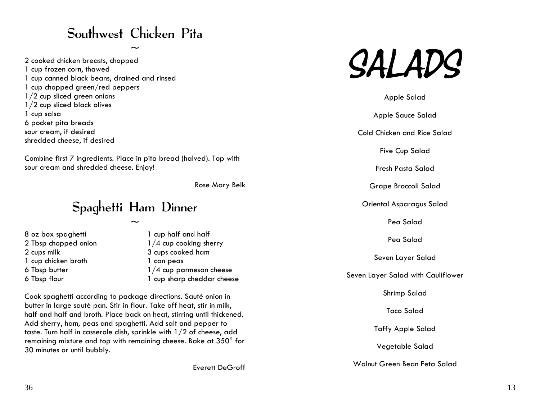#### Southwest Chicken Pita

2 cooked chicken breasts, chopped<br>1 cup frozen corn, thawed<br>1 cup canned black beans, drained and rinsed 1 cup chopped green/red peppers 1/2 cup sliced green onions and a set of the same state of the Salad Apple Salad 1/2 cup sliced black olives 1 cup salsa Apple Sauce Salad 6 pocket pit a breads sour cream, if desired examples the cold Chicken and Rice Salad shredded cheese, if desired

Combine first 7 ingredients. Place in pita bread (halved). Top with sour cream and shredded cheese. Enjoy!

#### Spaghetti Ham Dinner **Canadia Asparagus Salad** Oriental Asparagus Salad

8 oz box spaghetti 1 cup half and half Pea Salad 2 Tbsp chopped onion 1/4 cup cooking sherry 2 cups milk 3 cups cooked ham Seven Layer Salad 1 cup chicken broth 1 can peas 6 Tbsp butter 1/4 cup parmesan cheese<br>6 Tbsp flour 1 cup sharp cheddar cheese 6 Tbsp flour 1 cup sharp cheddar cheese

Shrimp Salad Cook spaghetti according to package directions. Sauté onion in butter in large sauté pan. Stir in flour. Take off heat, stir in milk, half and half and broth. Place back on heat, stirring until thickened. Add sherry, ham, peas and spaghetti. Add salt and pepper t o taste. Turn half in casserole dish, sprinkle with 1/2 of cheese, add remaining mixture and top with remaining cheese. Bake at 350° for 30 minutes or until bubbly.



Five Cup Salad

Rose Mary Belk Grape Broccoli Salad

 $\sim$  Pea Salad

Taco Salad

Taffy Apple Salad

Vegetable S alad

Walnut Green Bean Feta Salad Everett DeGroff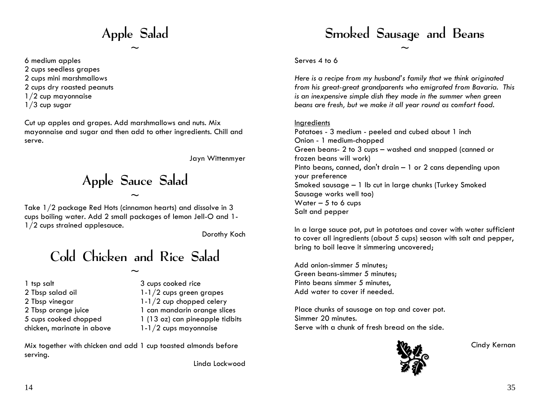Apple Salad

 $\sim$ 

6 medium apples 2 cups seedless grapes

- 2 cups mini marshmallows
- 2 cups dry roasted peanuts
- 1/2 cup mayonnaise
- $1/3$  cup sugar

Cut up apples and grapes. Add marshmallows and nuts. Mix mayonnaise and sugar and then add to other ingredients. Chill and serve.

Jayn Wittenmyer

Apple Sauce Salad  $\sim$ 

Take 1/2 package Red Hots (cinnamon hearts) and dissolve in 3 cups boiling water. Add 2 small packages of lemon Jell-O and 1- 1/2 cups strained applesauce.

Dorothy Koch

Cold Chicken and Rice Salad

 $\sim$ 

1 tsp salt 2 Tbsp salad oil 2 Tbsp vinegar 2 Tbsp orange juice 5 cups cooked chopped chicken, marinate in above 3 cups cooked rice 1-1/2 cups green grapes 1-1/2 cup chopped celery 1 can mandarin orange slices 1 (13 oz) can pineapple tidbits 1-1/2 cups mayonnaise

Mix together with chicken and add 1 cup toasted almonds before serving.

Linda Lockwood

### Smoked Sausage and Beans

 $\sim$ 

#### Serves 4 to 6

*Here is a recipe from my husband's family that we think originated from his great-great grandparents who emigrated from Bavaria. This is an inexpensive simple dish they made in the summer when green beans are fresh, but we make it all year round as comfort food.* 

#### Ingredients

Potatoes - 3 medium - peeled and cubed about 1 inch Onion - 1 medium-chopped Green beans- 2 to 3 cups – washed and snapped (canned or frozen beans will work) Pinto beans, canned, don't drain – 1 or 2 cans depending upon your preference Smoked sausage – 1 lb cut in large chunks (Turkey Smoked Sausage works well too) Water  $-5$  to 6 cups Salt and pepper

In a large sauce pot, put in potatoes and cover with water sufficient to cover all ingredients (about 5 cups) season with salt and pepper, bring to boil leave it simmering uncovered;

Add onion-simmer 5 minutes; Green beans-simmer 5 minutes; Pinto beans simmer 5 minutes, Add water to cover if needed.

Place chunks of sausage on top and cover pot. Simmer 20 minutes. Serve with a chunk of fresh bread on the side.



Cindy Kernan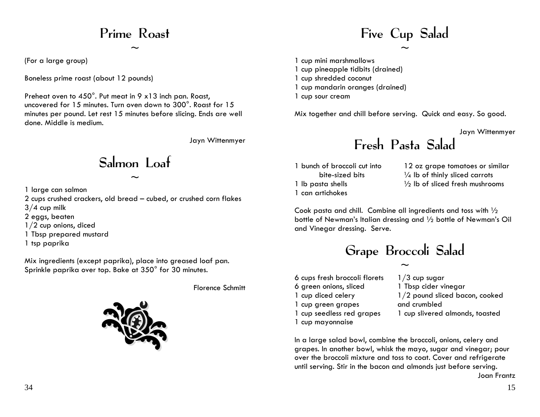#### Prime Roast

 $\sim$ 

(For a large group)

Boneless prime roast (about 12 pounds)

Preheat oven to 450°. Put meat in 9 x 13 inch pan. Roast, uncovered for 15 minutes. Turn oven down to 300°. Roast for 15 minutes per pound. Let rest 15 minutes before slicing. Ends are well done. Middle is medium.

Jayn Wittenmyer

Salmon Loaf

 $\sim$ 

1 large can salmon

2 cups crushed crackers, old bread – cubed, or crushed corn flakes

 $3/4$  cup milk

- 2 eggs, beaten
- 1/2 cup onions, diced
- 1 Tbsp prepared mustard
- 1 tsp paprika

Mix ingredients (except paprika), place into greased loaf pan. Sprinkle paprika over top. Bake at 350° for 30 minutes.

Florence Schmitt



## Five Cup Salad

 $\sim$ 

1 cup mini marshmallows

- 1 cup pineapple tidbits (drained)
- 1 cup shredded coconut
- 1 cup mandarin oranges (drained)
- 1 cup sour cream

Mix together and chill before serving. Quick and easy. So good.

Jayn Wittenmyer

### Fresh Pasta Salad

1 bunch of broccoli cut into bite-sized bits 1 lb pasta shells 1 can artichokes

12 oz grape tomatoes or similar 1/4 lb of thinly sliced carrots  $\frac{1}{2}$  lb of sliced fresh mushrooms

Cook pasta and chill. Combine all ingredients and toss with ½ bottle of Newman's Italian dressing and ½ bottle of Newman's Oil and Vinegar dressing. Serve.

### Grape Broccoli Salad

6 cups fresh broccoli florets 6 green onions, sliced 1 cup diced celery 1 cup green grapes 1 cup seedless red grapes 1 cup mayonnaise

 $\sim$  $1/3$  cup sugar 1 Tbsp cider vinegar 1/2 pound sliced bacon, cooked and crumbled 1 cup slivered almonds, toasted

In a large salad bowl, combine the broccoli, onions, celery and grapes. In another bowl, whisk the mayo, sugar and vinegar; pour over the broccoli mixture and toss to coat. Cover and refrigerate until serving. Stir in the bacon and almonds just before serving. Joan Frantz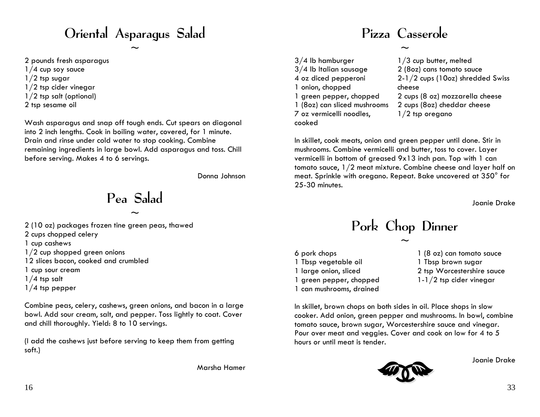### Oriental Asparagus Salad

 $\sim$ 

2 pounds fresh asparagus  $1/4$  cup soy sauce

- $1/2$  tsp sugar
- 1/2 tsp cider vinegar
- 1/2 tsp salt (optional)
- 2 tsp sesame oil

Wash asparagus and snap off tough ends. Cut spears on diagonal into 2 inch lengths. Cook in boiling water, covered, for 1 minute. Drain and rinse under cold water to stop cooking. Combine remaining ingredients in large bowl. Add asparagus and toss. Chill before serving. Makes 4 to 6 servings.

Donna Johnson

Pea Salad

 $\sim$ 

- 2 (10 oz) packages frozen tine green peas, thawed
- 2 cups chopped celery
- 1 cup cashews
- 1/2 cup shopped green onions
- 12 slices bacon, cooked and crumbled
- 1 cup sour cream
- $1/4$  tsp salt
- 1/4 tsp pepper

Combine peas, celery, cashews, green onions, and bacon in a large bowl. Add sour cream, salt, and pepper. Toss lightly to coat. Cover and chill thoroughly. Yield: 8 to 10 servings.

(I add the cashews just before serving to keep them from getting soft.)

Marsha Hamer

#### Pizza Casserole

 $\sim$ 

3/4 lb hamburger 3/4 lb Italian sausage 4 oz diced pepperoni 1 onion, chopped 1 green pepper, chopped 1 (8oz) can sliced mushrooms 7 oz vermicelli noodles, cooked

1/3 cup butter, melted 2 (8oz) cans tomato sauce 2-1/2 cups (10oz) shredded Swiss cheese 2 cups (8 oz) mozzarella cheese 2 cups (8oz) cheddar cheese 1/2 tsp oregano

In skillet, cook meats, onion and green pepper until done. Stir in mushrooms. Combine vermicelli and butter, toss to cover. Layer vermicelli in bottom of greased 9x13 inch pan. Top with 1 can tomato sauce, 1/2 meat mixture. Combine cheese and layer half on meat. Sprinkle with oregano. Repeat. Bake uncovered at 350° for 25-30 minutes.

Joanie Drake

#### Pork Chop Dinner

 $\sim$ 

- 6 pork chops 1 Tbsp vegetable oil 1 large onion, sliced 1 green pepper, chopped 1 can mushrooms, drained
- 1 (8 oz) can tomato sauce 1 Tbsp brown sugar 2 tsp Worcestershire sauce 1-1/2 tsp cider vinegar

In skillet, brown chops on both sides in oil. Place shops in slow cooker. Add onion, green pepper and mushrooms. In bowl, combine tomato sauce, brown sugar, Worcestershire sauce and vinegar. Pour over meat and veggies. Cover and cook on low for 4 to 5 hours or until meat is tender.

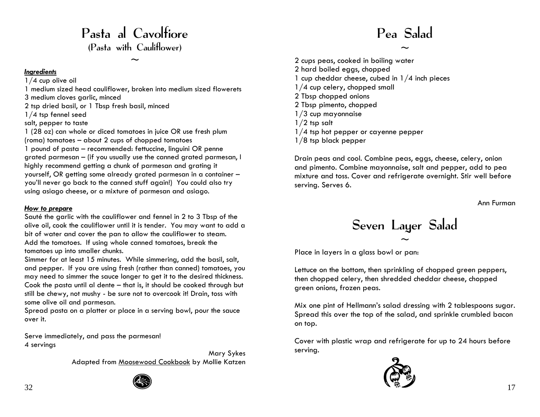#### Pasta al Cavolfiore (Pasta with Cauliflower)

 $\sim$ 

#### *Ingredients*

1/4 cup olive oil

1 medium sized head cauliflower, broken into mediu m sized flo werets 3 medium cloves garlic, minced

2 tsp dried basil, or 1 T bsp fresh basil, minced

1/4 tsp fennel seed

#### salt, pepper to taste

1 (28 oz) can whole or diced tomatoes in juice OR use fresh plu m(roma) tom atoes – about 2 cups of chopped tom atoes 1 pound of pasta – recommended: fettuccine, linguini OR penne grated parmesan – (if you usually use the canned grated parmesan, I highly reco m mend gettin g a chunk of parmesan and grating it yourself, OR getting som e already grated parmesan in a contain er – you'll never go back to the canned stuff again!) You could also try using asia go cheese, or a mixture of parmesan and asiago.

#### *H ow t o prepare*

Sauté the garlic with the cauliflower and fennel in 2 to 3 Tbsp of the olive oil, cook the cauliflower until it is tender. You may want t o add a bit of water and cover the pan to allow the cauliflower to steam. Add the t omatoes. If using whole canned tomatoes, break the tomatoes u p into smaller chunks.

Simmer for at least 15 minutes. While simmering, add the basil, salt, and pep per. If you are using fresh (rather than canned) tomatoes, you may need to simmer the sauce longer t o get it to the desired thickness. Cook the p asta until al dente – that is, it should be cooked throu gh but still be chewy, not mushy - be sure not to overcook it! Drain, toss with some olive oil and parmesan.

Spread pasta on a platter or place in a serving bowl, pour the sauce over it.

Serve imme diately, and pass the parmesan! 4 servings

> Mary Sykes Adapted from Moosewood Cookbook by Mollie Katzen



#### Pea Salad

 $\sim$ 

2 cups peas, cooked in boiling water 2 hard boiled eggs, chopped 1 cup cheddar cheese, cubed in 1/4 inch pieces 1/4 cup cel ery, chopped small 2 Tbsp chopped onions 2 Tbsp pimento, chopped 1/3 cup mayonnaise  $1/2$  tsp salt 1/4 tsp hot pepper or c ayenne pepper 1/8 tsp black pepper

Drain peas and cool. Combine peas, eggs, cheese, celery, onion and pimento. Combine mayonnaise, salt and pepper, add to pea mixture and toss. Cover and refrigerate overnight. Stir well before serving. Serves 6.

Ann Furman

#### Seven Layer Salad  $\sim$

Place in layers in a glass bowl or pan:

Lettuce on the bottom, then sprinkling of chopped green peppers, then chopped celery, then shredded cheddar cheese, chopped green onions, frozen peas.

Mix one pint of Hellmann's salad dressing with 2 tablespoons sugar. Spread this over the top of the salad, and sprinkle crumbled bacon on top.

Cover with plastic wrap and refrigerate for up to 24 hours before serving.

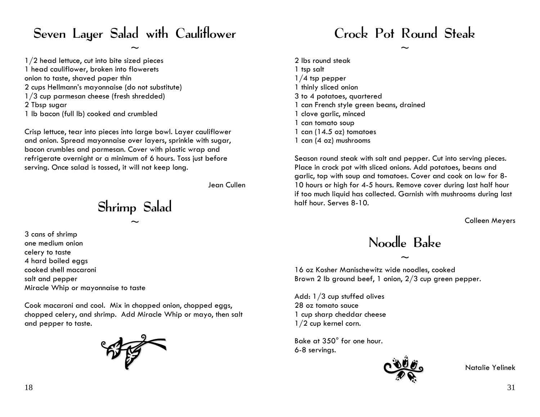#### Seven Layer Salad with Cauliflower

 $\sim$ 

1/2 head lettuce, cut into bite sized pieces 1 head cauliflower, broken into flowerets onion to taste, shaved paper thin 2 cups Hellmann's mayonnaise (do not substitute) 1/3 cup parmesan cheese (fresh shredded) 2 Tbsp sugar 1 lb bacon (full lb) cooked and crumbled

Crisp lettuce, tear into pieces into large bowl. Layer cauliflower and onion. Spread mayonnaise over l ayers, sprinkle with sugar, bacon crumbles and parmesan. Cover with plastic wrap and refrigerate overnight or a minimum of 6 hours. Toss just before serving. Onc e salad is tossed, it will not keep long.

Jean Cullen

Shrimp Salad  $\sim$ 

3 cans of shrimp one medium onion celery to taste 4 hard boiled eggs cooked shell macaroni salt and pepper Miracle Whip or mayonnaise to taste

Cook macaroni and cool. Mix in chopped onion, chopped eggs, chopped celery, and shrimp. Add Miracle Whip or mayo, then salt and pepper to taste.



Crock Pot Round Steak

 $\sim$ 

2 lbs round steak 1 tsp salt 1/4 tsp pepper 1 thinly slice d onion 3 to 4 potatoes, quartered 1 can French style green beans, drained 1 clove garlic, minced 1 can tomato soup 1 can (14.5 oz) tomatoes 1 can (4 oz) mushrooms

Season round steak with salt and pepper. Cut into serving pieces. Place in crock pot with sliced onions. Add pot atoes, beans and garlic, top with soup and tomatoes. C over and cook on low for 8-10 hours or high for 4-5 hours. Remove cover during last half hour if too much liquid has collected. Garnish with mushrooms during last half hour. Serves 8-10.

Colleen Meyers

Noodle Bake

 $\sim$ 

16 oz Kosher Manischewitz wide noodles, cooked Brown 2 lb ground beef, 1 onion, 2/3 cup green pepper.

Add: 1/3 cup stuffed oli ves 28 oz tomato sauce 1 cup sharp cheddar cheese 1/2 cup kernel corn.

Bake at 350° for one hour. 6-8 servings.



Natalie Yelinek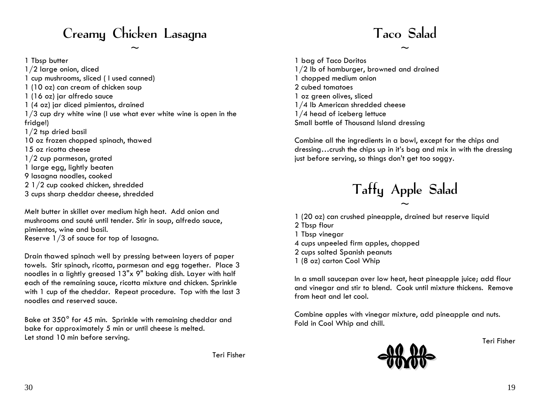### Creamy Chicken Lasagna Taco Salad

1/2 large onion, diced 1/2 lb of hamburger, browned and drained 1 cup mushrooms, sliced ( I used canned) 1 chopped medium onion 1 (10 oz) can cream of chicken soup 2 cubed tomatoes 1 (16 oz) jar alfredo sauce 1 oz green olives, sliced 1 (4 oz) jar diced pimientos, drained 1/4 lb American shredded cheese 1/3 cup dry white wine (I use what ever white wine is open in the fridge!) 1/2 tsp dried basil 10 oz frozen chopped spinach, thawed Combine all the ingredients in a bowl, except for the chips and 15 oz ricotta cheese 1/2 cup parmesan, grated 1 large egg, lightly beaten 9 lasagna noodles, cooked 2 1/2 cup cooked chicken, shredded

Melt butter in skillet over medium high heat. Add onion and mushrooms and sauté until tender. Stir in soup, alfredo sauce, pimientos, wine and basil. philomos, which are best top of lasagna.<br>Reserve 1/3 of sauce for top of lasagna.<br>4 cups unpeeled firm apples, chopped

2 cups salted Spanish peanuts Drain thawed spinach well by pressing between layers of paper towels. Stir spinach, ricotta, parmesan and egg together. Place 3 noodles in a lightly greased 13"x 9" baking dish. Layer with half each of the remaining sauce, ricotta mixture and chicken. Sprinkle with 1 cup of the cheddar. Repeat procedure. Top with the last 3 mining teep of the enclusion. Repeat procedure: Tep with the rast of the strom heat and let cool.<br>noodles and reserved sauce.

Bake at 350° for 45 min. Sprinkle with remaining cheddar and end and bake for approximately 5 min or until cheese is melted. Let stand 10 min before serving. Teri Fisher

Teri Fisher

1 Tbsp butter 1 bag of Taco Doritos 1/4 head of iceberg lettuce Small bottle of Thousand Island dressing

> dressing…crush the chips up in it's bag and mix in with the dressing just before serving, so things don't get too soggy.

# 2 1/2 cup cooked chicken, shredded<br>3 cups sharp cheddar cheese, shredded Taffy Apple Salad

 $\sim$ 

- 1 (20 oz) can crushed pineapple, drained but reserve liquid
- 2 Tbsp flour

 $\sim$   $\sim$ 

- 
- 
- 
- 1 (8 oz) carton Cool Whip

In a small saucepan over low heat, heat pineapple juice; add flour and vinegar and stir to blend. Cook until mixture thickens. Remove

Combine apples with vinegar mixture, add pineapple and nuts.

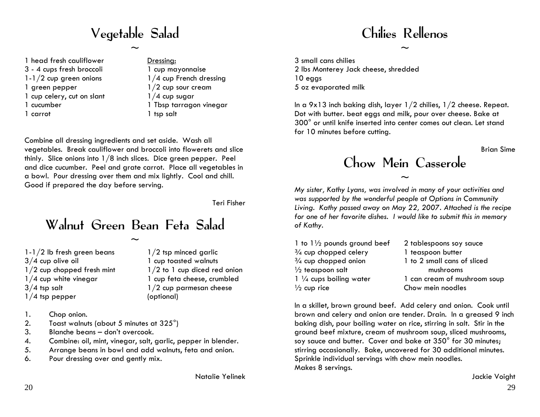## Vegetable Salad

 $\sim$ 

- 1 head fresh cauliflower 3 - 4 cups fresh broccoli 1-1/2 cup green onions
- 1 green pepper
- 1 cup celery, cut on slant
- 1 cucumber
- 1 carrot

Dressing: 1 cup mayonnaise 1/4 cup French dressing 1/2 cup sour cream  $1/4$  cup sugar 1 Tbsp tarragon vinegar 1 tsp salt

Combine all dressing ingredients and set aside. Wash all vegetables. Break cauliflower and broccoli into flowerets and slice thinly. Slice onions into 1/8 inch slices. Dice green pepper. Peel and dice cucumber. Peel and grate carrot. Place all vegetables in a bowl. Pour dressing over them and mix lightly. Cool and chill. Good if prepared the day before serving.

Teri Fisher

#### Walnut Green Bean Feta Salad

 $\sim$ 

- 1-1/2 lb fresh green beans 3/4 cup olive oil 1/2 cup chopped fresh mint 1/4 cup white vinegar 3/4 tsp salt 1/4 tsp pepper
- 1/2 tsp minced garlic 1 cup toasted walnuts 1/2 to 1 cup diced red onion 1 cup feta cheese, crumbled 1/2 cup parmesan cheese (optional)

- 1. Chop onion.
- 2. Toast walnuts (about 5 minutes at 325<sup>°</sup>)
- 3. Blanche beans don't overcook.
- 4. Combine: oil, mint, vinegar, salt, garlic, pepper in blender.
- 5. Arrange beans in bowl and add walnuts, feta and onion.
- 6. Pour dressing over and gently mix.

Natalie Yelinek

### Chilies Rellenos

 $\sim$ 

3 small cans chilies 2 lbs Monterey Jack cheese, shredded 10 eggs 5 oz evaporated milk

In a 9x13 inch baking dish, layer 1/2 chilies, 1/2 cheese. Repeat. Dot with butter. beat eggs and milk, pour over cheese. Bake at 300° or until knife inserted into center comes out clean. Let stand for 10 minutes before cutting.

Brian Sime

#### Chow Mein Casserole

 $\sim$ 

*My sister, Kathy Lyans, was involved in many of your activities and was supported by the wonderful people at Options in Community Living. Kathy passed away on May 22, 2007. Attached is the recipe for one of her favorite dishes. I would like to submit this in memory of Kathy.* 

| 1 to $1\frac{1}{2}$ pounds ground beef | 2 tablespoons soy sauce      |
|----------------------------------------|------------------------------|
| $\frac{3}{4}$ cup chopped celery       | 1 teaspoon butter            |
| $\frac{3}{4}$ cup chopped onion        | 1 to 2 small cans of sliced  |
| $\frac{1}{2}$ teaspoon salt            | mushrooms                    |
| $1\frac{1}{4}$ cups boiling water      | 1 can cream of mushroom soup |
| $\frac{1}{2}$ cup rice                 | Chow mein noodles            |
|                                        |                              |

In a skillet, brown ground beef. Add celery and onion. Cook until brown and celery and onion are tender. Drain. In a greased 9 inch baking dish, pour boiling water on rice, stirring in salt. Stir in the ground beef mixture, cream of mushroom soup, sliced mushrooms, soy sauce and butter. Cover and bake at 350° for 30 minutes; stirring occasionally. Bake, uncovered for 30 additional minutes. Sprinkle individual servings with chow mein noodles. Makes 8 servings.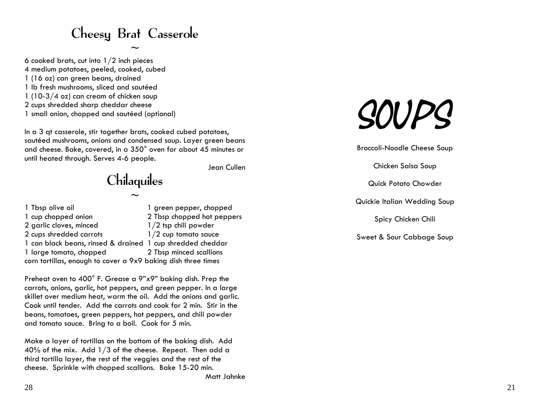### Cheesy Brat Casserole

 $\sim$ 

6 cooked brats, cut into 1/2 inch pieces 4 medium potatoes, peeled, cooked, cubed 1 (16 oz) can green beans, drained 1 lb fresh mushrooms, sliced and sautéed 1 (10-3/4 o z) can cream of chicken soup 2 cups shred ded sharp cheddar cheese 1 small onion, chopped and sautéed (optional)

In a 3 qt c asserole, stir together brats, cooked cubed potatoes, sautéed mushrooms, onions and condensed soup. Layer green beans and cheese. Bake, covered, in a  $350^{\circ}$  oven for about 45 minutes or until heated through. Serves 4-6 people.

Jean Cullen

## Chilaquiles

 $\sim$ 

| 1 Tbsp olive oil                                              | 1 green pepper, chopped    |
|---------------------------------------------------------------|----------------------------|
| 1 cup chopped onion                                           | 2 Tbsp chopped hot peppers |
| 2 garlic cloves, minced                                       | $1/2$ tsp chili powder     |
| 2 cups shredded carrots                                       | $1/2$ cup tomato sauce     |
| 1 can black beans, rinsed & drained 1 cup shredded cheddar    |                            |
| 1 large tomato, chopped                                       | 2 Tbsp minced scallions    |
| corn tortillas, enough to cover a 9x9 baking dish three times |                            |

Preheat oven to 400° F. Grease a 9"x9" baking dish. Prep the carrots, onions, garlic, hot peppers, and green pepper. In a large skillet over medium heat, warm the oil. Add the onions and garlic. Cook until tender. Add the carrots and cook for 2 min. Stir in the beans, tomatoes, green peppers, hot peppers, and chili powder and tomato sauce. Bring to a boil. Cook for 5 min.

Make a layer of tortillas on the bottom of the baking dish. Add 40% of the mix. Add 1/3 of the cheese. Repeat. Then add a third tortilla layer, the rest of the veggies and the rest of the cheese. Sprinkle with chopped scallions. Bake 15-20 min.

# SOUPS

Broccoli-Noodle Cheese Soup

Chicken Salsa Soup

Quick Potato Chowder

Quickie Italian Wedding Soup

Spicy Chicken Chili

Sweet & Sour Cabbage Soup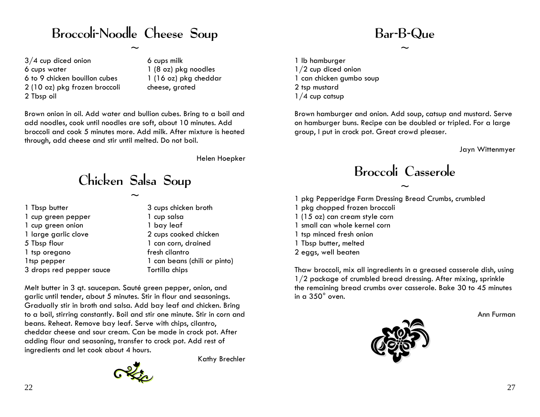#### Broccoli-Noodle Cheese Soup

 $\sim$ 

3/4 cup diced onion 6 cups water 6 to 9 chicken bouillon cubes 2 (10 oz) pkg frozen broccoli 2 Tbsp oil

6 cups milk 1 (8 oz) pkg noodles 1 (16 oz) pkg cheddar cheese, grated

Brown onion in oil. Add water and bullion cubes. Bring to a boil and add noodles, cook until noodles are soft, about 10 minutes. Add broccoli and cook 5 minutes more. Add milk. After mixture is heated through, add cheese and stir until melted. Do not boil.

Helen Hoepker

Kathy Brechler

### Chicken Salsa Soup

 $\sim$ 

1 Tbsp butter 1 cup green pepper 1 cup green onion 1 large garlic clove 5 Tbsp flour 1 tsp oregano 1tsp pepper 3 drops red pepper sauce 3 cups chicken broth 1 cup salsa 1 bay leaf 2 cups cooked chicken 1 can corn, drained fresh cilantro 1 can beans (chili or pinto) Tortilla chips

Melt butter in 3 qt. saucepan. Sauté green pepper, onion, and garlic until tender, about 5 minutes. Stir in flour and seasonings. Gradually stir in broth and salsa. Add bay leaf and chicken. Bring to a boil, stirring constantly. Boil and stir one minute. Stir in corn and beans. Reheat. Remove bay leaf. Serve with chips, cilantro, cheddar cheese and sour cream. Can be made in crock pot. After adding flour and seasoning, transfer to crock pot. Add rest of ingredients and let cook about 4 hours.

#### Bar-B-Que

 $\sim$ 

1 lb hamburger 1/2 cup diced onion 1 can chicken gumbo soup 2 tsp mustard 1/4 cup catsup

Brown hamburger and onion. Add soup, catsup and mustard. Serve on hamburger buns. Recipe can be doubled or tripled. For a large group, I put in crock pot. Great crowd pleaser.

Jayn Wittenmyer

Broccoli Casserole

 $\sim$ 

1 pkg Pepperidge Farm Dressing Bread Crumbs, crumbled 1 pkg chopped frozen broccoli 1 (15 oz) can cream style corn 1 small can whole kernel corn 1 tsp minced fresh onion 1 Tbsp butter, melted 2 eggs, well beaten

Thaw broccoli, mix all ingredients in a greased casserole dish, using 1/2 package of crumbled bread dressing. After mixing, sprinkle the remaining bread crumbs over casserole. Bake 30 to 45 minutes in a 350° oven.

Ann Furman

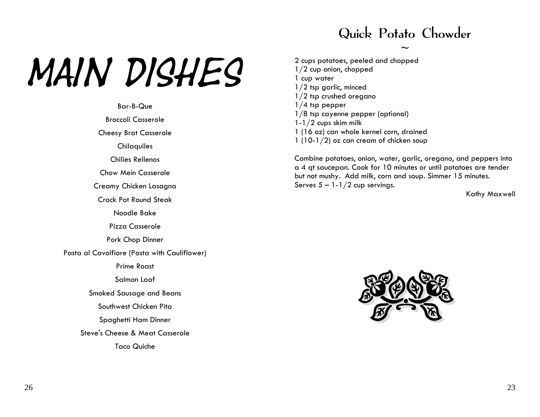#### Quick Potato Chowder

 $\sim$ 

# MAIN DISHES

Bar-B-Que

Broccoli Casserole

Cheesy Brat Casserole

**Chilaquiles** 

Chilies Rellenos

Chow Mein Casserole

Creamy Chicken Lasagna

Crock Pot Round Steak

Noodle Bake

Pizza Casserole

Pork Chop Dinner

Pasta al Cavolfiore (Pasta with Cauliflower)

Prime Roast

Salmon Loaf

Smoked Sausage and Beans

Southwest Chicken Pita

Spaghetti H am Dinner

Steve's Cheese & Meat Casserole

Taco Quiche

2 cups potatoes, peeled and chopped 1/2 cup onion, chopped 1 cup water 1/2 tsp garlic, minced 1/2 tsp crushed oregano 1/4 tsp pepper 1/8 tsp cay enne pepper (optional) 1-1/2 cups skim milk 1 (16 oz) can whole kernel corn, drained 1 (10-1/2) oz can cream of chicken soup

Combine pot atoes, onion, water, garlic, oregano, and peppers into a 4 qt saucepan. Cook for 10 minutes or until pot atoes are tender but not mushy. Add milk, corn and soup. Simmer 15 minutes. Serves  $5 - 1 - 1/2$  cup servings.

Kathy Max well